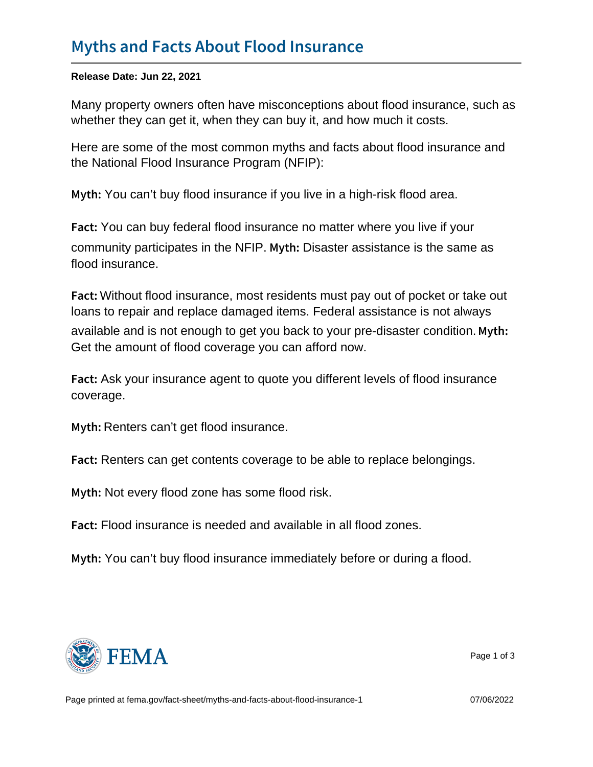Release Date: Jun 22, 2021

Many property owners often have misconceptions about flood insurance, such as whether they can get it, when they can buy it, and how much it costs.

Here are some of the most common myths and facts about flood insurance and the National Flood Insurance Program (NFIP):

My the can't buy flood insurance if you live in a high-risk flood area.

F a cYou can buy federal flood insurance no matter where you live if your community participates in the NFIP. My t Disaster assistance is the same as flood insurance.

F a d Without flood insurance, most residents must pay out of pocket or take out loans to repair and replace damaged items. Federal assistance is not always available and is not enough to get you back to your pre-disaster condition. Myth: Get the amount of flood coverage you can afford now.

F a cAsk your insurance agent to quote you different levels of flood insurance coverage.

M y t **Renters can't get flood insurance.** 

F a cRenters can get contents coverage to be able to replace belongings.

My t Not every flood zone has some flood risk.

F a cHood insurance is needed and available in all flood zones.

My the can't buy flood insurance immediately before or during a flood.



Page 1 of 3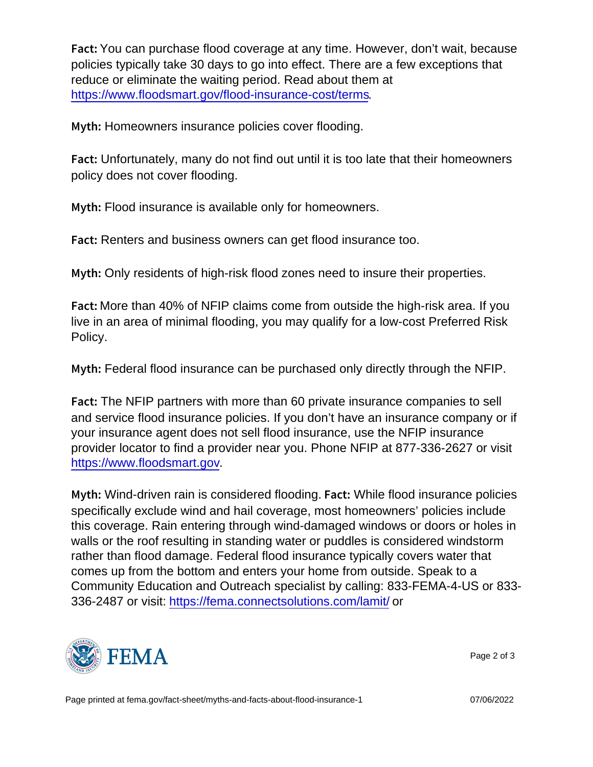F a chau can purchase flood coverage at any time. However, don't wait, because policies typically take 30 days to go into effect. There are a few exceptions that reduce or eliminate the waiting period. Read about them at <https://www.floodsmart.gov/flood-insurance-cost/terms>.

M y t **Homeowners insurance policies cover flooding.** 

F a cunfortunately, many do not find out until it is too late that their homeowners policy does not cover flooding.

M y t Filood insurance is available only for homeowners.

F a cRenters and business owners can get flood insurance too.

M y t **Dn**ly residents of high-risk flood zones need to insure their properties.

F a diore than 40% of NFIP claims come from outside the high-risk area. If you live in an area of minimal flooding, you may qualify for a low-cost Preferred Risk Policy.

My the Federal flood insurance can be purchased only directly through the NFIP.

F a clithe NFIP partners with more than 60 private insurance companies to sell and service flood insurance policies. If you don't have an insurance company or if your insurance agent does not sell flood insurance, use the NFIP insurance provider locator to find a provider near you. Phone NFIP at 877-336-2627 or visit [https://www.floodsmart.gov.](https://www.floodsmart.gov)

M y t Wind-driven rain is considered flooding.  $F$  a cWhile flood insurance policies specifically exclude wind and hail coverage, most homeowners' policies include this coverage. Rain entering through wind-damaged windows or doors or holes in walls or the roof resulting in standing water or puddles is considered windstorm rather than flood damage. Federal flood insurance typically covers water that comes up from the bottom and enters your home from outside. Speak to a Community Education and Outreach specialist by calling: 833-FEMA-4-US or 833- 336-2487 or visit: [https://fema.connectsolutions.com/lamit/](https://fema.connectsolutions.com/lamit/ ) or



Page 2 of 3